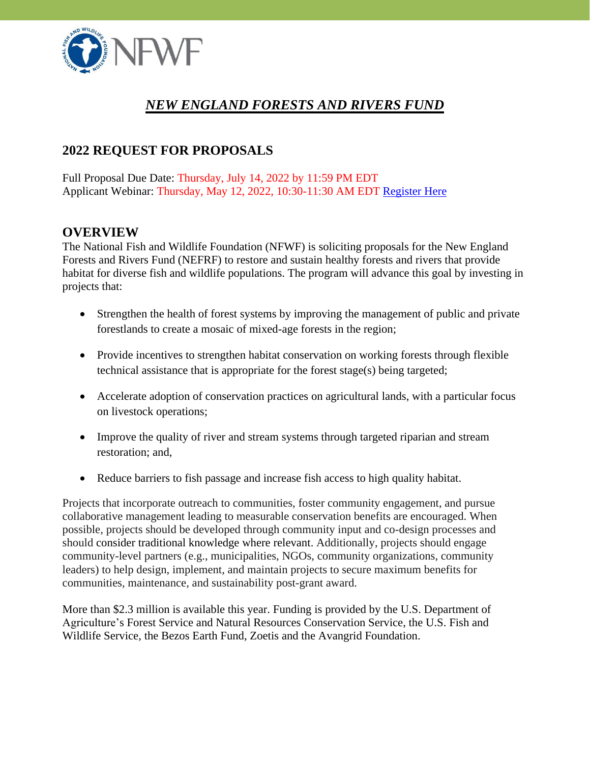

# *NEW ENGLAND FORESTS AND RIVERS FUND*

# **2022 REQUEST FOR PROPOSALS**

Full Proposal Due Date: Thursday, July 14, 2022 by 11:59 PM EDT Applicant Webinar: Thursday, May 12, 2022, 10:30-11:30 AM EDT [Register Here](https://attendee.gotowebinar.com/register/3490230758980827150)

### **OVERVIEW**

The National Fish and Wildlife Foundation (NFWF) is soliciting proposals for the New England Forests and Rivers Fund (NEFRF) to restore and sustain healthy forests and rivers that provide habitat for diverse fish and wildlife populations. The program will advance this goal by investing in projects that:

- Strengthen the health of forest systems by improving the management of public and private forestlands to create a mosaic of mixed-age forests in the region;
- Provide incentives to strengthen habitat conservation on working forests through flexible technical assistance that is appropriate for the forest stage(s) being targeted;
- Accelerate adoption of conservation practices on agricultural lands, with a particular focus on livestock operations;
- Improve the quality of river and stream systems through targeted riparian and stream restoration; and,
- Reduce barriers to fish passage and increase fish access to high quality habitat.

Projects that incorporate outreach to communities, foster community engagement, and pursue collaborative management leading to measurable conservation benefits are encouraged. When possible, projects should be developed through community input and co-design processes and should consider traditional knowledge where relevant. Additionally, projects should engage community-level partners (e.g., municipalities, NGOs, community organizations, community leaders) to help design, implement, and maintain projects to secure maximum benefits for communities, maintenance, and sustainability post-grant award.

More than \$2.3 million is available this year. Funding is provided by the U.S. Department of Agriculture's Forest Service and Natural Resources Conservation Service, the U.S. Fish and Wildlife Service, the Bezos Earth Fund, Zoetis and the Avangrid Foundation.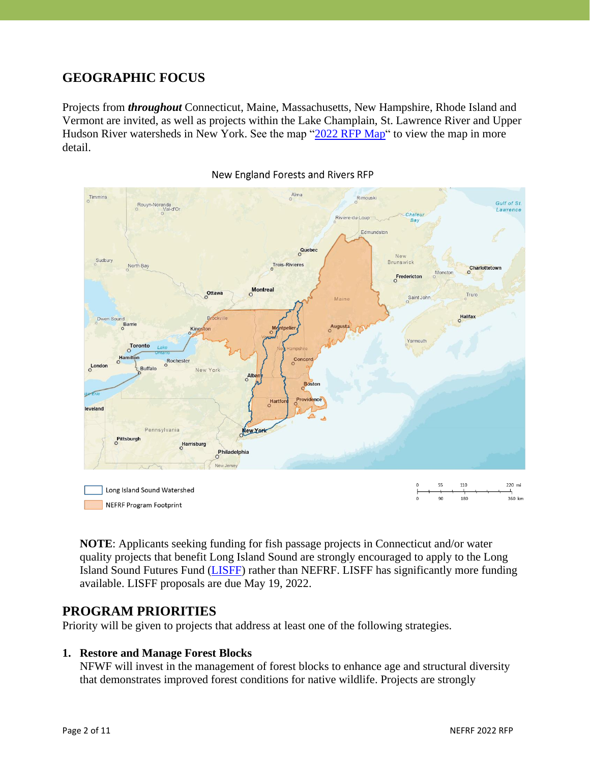### **GEOGRAPHIC FOCUS**

Projects from *throughout* Connecticut, Maine, Massachusetts, New Hampshire, Rhode Island and Vermont are invited, as well as projects within the Lake Champlain, St. Lawrence River and Upper Hudson River watersheds in New York. See the map ["2022 RFP Map"](https://nfwf.maps.arcgis.com/apps/webappviewer/index.html?id=97f52f1d35a94f52bd621f8b49987316) to view the map in more detail.



**NOTE**: Applicants seeking funding for fish passage projects in Connecticut and/or water quality projects that benefit Long Island Sound are strongly encouraged to apply to the Long Island Sound Futures Fund [\(LISFF\)](https://www.nfwf.org/programs/long-island-sound-futures-fund) rather than NEFRF. LISFF has significantly more funding available. LISFF proposals are due May 19, 2022.

### **PROGRAM PRIORITIES**

Priority will be given to projects that address at least one of the following strategies.

#### **1. Restore and Manage Forest Blocks**

NFWF will invest in the management of forest blocks to enhance age and structural diversity that demonstrates improved forest conditions for native wildlife. Projects are strongly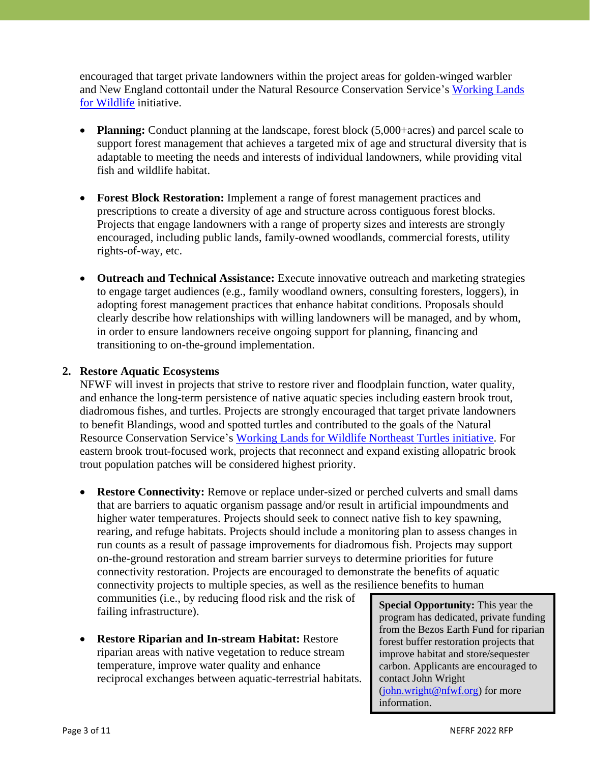encouraged that target private landowners within the project areas for golden-winged warbler and New England cottontail under the Natural Resource Conservation Service's [Working Lands](https://www.nrcs.usda.gov/wps/portal/nrcs/detail/national/programs/initiatives/?cid=stelprdb1046975)  [for Wildlife](https://www.nrcs.usda.gov/wps/portal/nrcs/detail/national/programs/initiatives/?cid=stelprdb1046975) initiative.

- **Planning:** Conduct planning at the landscape, forest block (5,000+acres) and parcel scale to support forest management that achieves a targeted mix of age and structural diversity that is adaptable to meeting the needs and interests of individual landowners, while providing vital fish and wildlife habitat.
- **Forest Block Restoration:** Implement a range of forest management practices and prescriptions to create a diversity of age and structure across contiguous forest blocks. Projects that engage landowners with a range of property sizes and interests are strongly encouraged, including public lands, family-owned woodlands, commercial forests, utility rights-of-way, etc.
- **Outreach and Technical Assistance:** Execute innovative outreach and marketing strategies to engage target audiences (e.g., family woodland owners, consulting foresters, loggers), in adopting forest management practices that enhance habitat conditions. Proposals should clearly describe how relationships with willing landowners will be managed, and by whom, in order to ensure landowners receive ongoing support for planning, financing and transitioning to on-the-ground implementation.

#### **2. Restore Aquatic Ecosystems**

NFWF will invest in projects that strive to restore river and floodplain function, water quality, and enhance the long-term persistence of native aquatic species including eastern brook trout, diadromous fishes, and turtles. Projects are strongly encouraged that target private landowners to benefit Blandings, wood and spotted turtles and contributed to the goals of the Natural Resource Conservation Service's [Working Lands for Wildlife](https://www.nrcs.usda.gov/wps/portal/nrcs/detail/national/plantsanimals/fishwildlife/?cid=nrcseprd1302230#:~:text=Working%20Lands%20for%20Wildlife&text=WLFW%20provides%20technical%20and%20financial,for%20conservation%20on%20private%20lands.) Northeast Turtles initiative. For eastern brook trout-focused work, projects that reconnect and expand existing allopatric brook trout population patches will be considered highest priority.

• **Restore Connectivity:** Remove or replace under-sized or perched culverts and small dams that are barriers to aquatic organism passage and/or result in artificial impoundments and higher water temperatures. Projects should seek to connect native fish to key spawning, rearing, and refuge habitats. Projects should include a monitoring plan to assess changes in run counts as a result of passage improvements for diadromous fish. Projects may support on-the-ground restoration and stream barrier surveys to determine priorities for future connectivity restoration. Projects are encouraged to demonstrate the benefits of aquatic connectivity projects to multiple species, as well as the resilience benefits to human

communities (i.e., by reducing flood risk and the risk of failing infrastructure).

• **Restore Riparian and In-stream Habitat:** Restore riparian areas with native vegetation to reduce stream temperature, improve water quality and enhance reciprocal exchanges between aquatic-terrestrial habitats. **Special Opportunity:** This year the program has dedicated, private funding from the Bezos Earth Fund for riparian forest buffer restoration projects that improve habitat and store/sequester carbon. Applicants are encouraged to contact John Wright [\(john.wright@nfwf.org\)](mailto:john.wright@nfwf.org) for more information.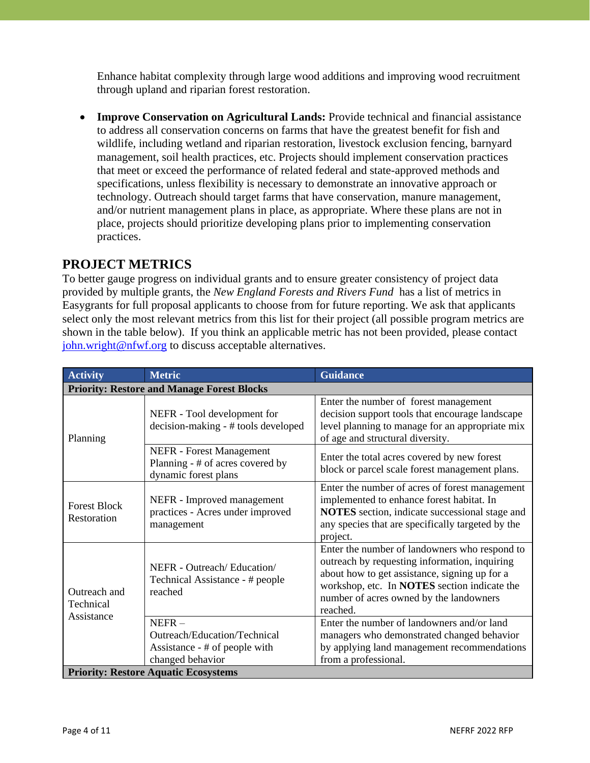Enhance habitat complexity through large wood additions and improving wood recruitment through upland and riparian forest restoration.

• **Improve Conservation on Agricultural Lands:** Provide technical and financial assistance to address all conservation concerns on farms that have the greatest benefit for fish and wildlife, including wetland and riparian restoration, livestock exclusion fencing, barnyard management, soil health practices, etc. Projects should implement conservation practices that meet or exceed the performance of related federal and state-approved methods and specifications, unless flexibility is necessary to demonstrate an innovative approach or technology. Outreach should target farms that have conservation, manure management, and/or nutrient management plans in place, as appropriate. Where these plans are not in place, projects should prioritize developing plans prior to implementing conservation practices.

### **PROJECT METRICS**

To better gauge progress on individual grants and to ensure greater consistency of project data provided by multiple grants, the *New England Forests and Rivers Fund* has a list of metrics in Easygrants for full proposal applicants to choose from for future reporting. We ask that applicants select only the most relevant metrics from this list for their project (all possible program metrics are shown in the table below). If you think an applicable metric has not been provided, please contact [john.wright@nfwf.org](mailto:john.wright@nfwf.org) to discuss acceptable alternatives.

| <b>Activity</b>                                   | <b>Metric</b>                                                                                 | <b>Guidance</b>                                                                                                                                                                                                                                        |  |  |
|---------------------------------------------------|-----------------------------------------------------------------------------------------------|--------------------------------------------------------------------------------------------------------------------------------------------------------------------------------------------------------------------------------------------------------|--|--|
| <b>Priority: Restore and Manage Forest Blocks</b> |                                                                                               |                                                                                                                                                                                                                                                        |  |  |
| Planning                                          | NEFR - Tool development for<br>decision-making - # tools developed                            | Enter the number of forest management<br>decision support tools that encourage landscape<br>level planning to manage for an appropriate mix<br>of age and structural diversity.                                                                        |  |  |
|                                                   | NEFR - Forest Management<br>Planning - # of acres covered by<br>dynamic forest plans          | Enter the total acres covered by new forest<br>block or parcel scale forest management plans.                                                                                                                                                          |  |  |
| <b>Forest Block</b><br>Restoration                | NEFR - Improved management<br>practices - Acres under improved<br>management                  | Enter the number of acres of forest management<br>implemented to enhance forest habitat. In<br><b>NOTES</b> section, indicate successional stage and<br>any species that are specifically targeted by the<br>project.                                  |  |  |
| Outreach and<br>Technical<br>Assistance           | NEFR - Outreach/Education/<br>Technical Assistance - # people<br>reached                      | Enter the number of landowners who respond to<br>outreach by requesting information, inquiring<br>about how to get assistance, signing up for a<br>workshop, etc. In NOTES section indicate the<br>number of acres owned by the landowners<br>reached. |  |  |
|                                                   | $NEFR -$<br>Outreach/Education/Technical<br>Assistance - # of people with<br>changed behavior | Enter the number of landowners and/or land<br>managers who demonstrated changed behavior<br>by applying land management recommendations<br>from a professional.                                                                                        |  |  |
| <b>Priority: Restore Aquatic Ecosystems</b>       |                                                                                               |                                                                                                                                                                                                                                                        |  |  |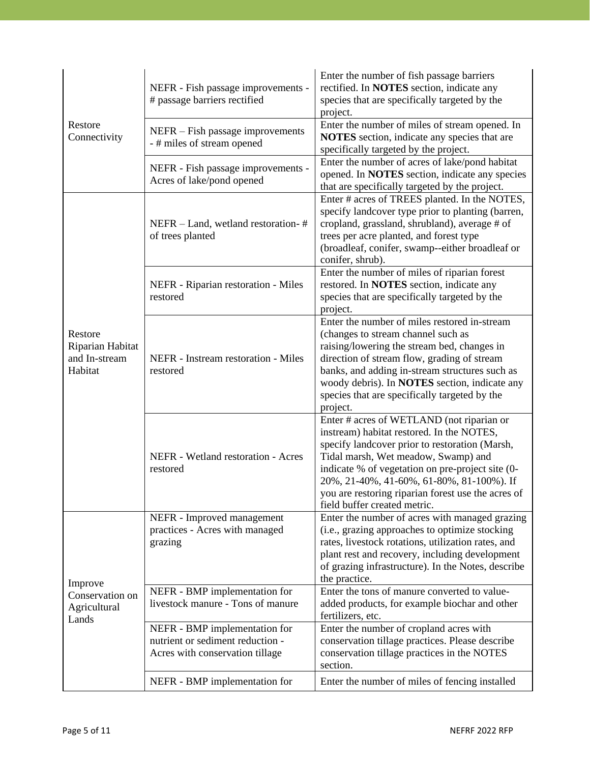| Restore<br>Connectivity                                 | NEFR - Fish passage improvements -<br># passage barriers rectified                                   | Enter the number of fish passage barriers<br>rectified. In <b>NOTES</b> section, indicate any<br>species that are specifically targeted by the<br>project.                                                                                                                                                                                                             |
|---------------------------------------------------------|------------------------------------------------------------------------------------------------------|------------------------------------------------------------------------------------------------------------------------------------------------------------------------------------------------------------------------------------------------------------------------------------------------------------------------------------------------------------------------|
|                                                         | NEFR – Fish passage improvements<br>- # miles of stream opened                                       | Enter the number of miles of stream opened. In<br>NOTES section, indicate any species that are<br>specifically targeted by the project.                                                                                                                                                                                                                                |
|                                                         | NEFR - Fish passage improvements -<br>Acres of lake/pond opened                                      | Enter the number of acres of lake/pond habitat<br>opened. In <b>NOTES</b> section, indicate any species<br>that are specifically targeted by the project.                                                                                                                                                                                                              |
| Restore<br>Riparian Habitat<br>and In-stream<br>Habitat | NEFR - Land, wetland restoration-#<br>of trees planted                                               | Enter # acres of TREES planted. In the NOTES,<br>specify landcover type prior to planting (barren,<br>cropland, grassland, shrubland), average # of<br>trees per acre planted, and forest type<br>(broadleaf, conifer, swamp--either broadleaf or<br>conifer, shrub).                                                                                                  |
|                                                         | NEFR - Riparian restoration - Miles<br>restored                                                      | Enter the number of miles of riparian forest<br>restored. In <b>NOTES</b> section, indicate any<br>species that are specifically targeted by the<br>project.                                                                                                                                                                                                           |
|                                                         | NEFR - Instream restoration - Miles<br>restored                                                      | Enter the number of miles restored in-stream<br>(changes to stream channel such as<br>raising/lowering the stream bed, changes in<br>direction of stream flow, grading of stream<br>banks, and adding in-stream structures such as<br>woody debris). In <b>NOTES</b> section, indicate any<br>species that are specifically targeted by the<br>project.                |
|                                                         | NEFR - Wetland restoration - Acres<br>restored                                                       | Enter # acres of WETLAND (not riparian or<br>instream) habitat restored. In the NOTES,<br>specify landcover prior to restoration (Marsh,<br>Tidal marsh, Wet meadow, Swamp) and<br>indicate % of vegetation on pre-project site (0-<br>20%, 21-40%, 41-60%, 61-80%, 81-100%). If<br>you are restoring riparian forest use the acres of<br>field buffer created metric. |
| Improve<br>Conservation on<br>Agricultural<br>Lands     | NEFR - Improved management<br>practices - Acres with managed<br>grazing                              | Enter the number of acres with managed grazing<br>(i.e., grazing approaches to optimize stocking<br>rates, livestock rotations, utilization rates, and<br>plant rest and recovery, including development<br>of grazing infrastructure). In the Notes, describe<br>the practice.                                                                                        |
|                                                         | NEFR - BMP implementation for<br>livestock manure - Tons of manure                                   | Enter the tons of manure converted to value-<br>added products, for example biochar and other<br>fertilizers, etc.                                                                                                                                                                                                                                                     |
|                                                         | NEFR - BMP implementation for<br>nutrient or sediment reduction -<br>Acres with conservation tillage | Enter the number of cropland acres with<br>conservation tillage practices. Please describe<br>conservation tillage practices in the NOTES<br>section.                                                                                                                                                                                                                  |
|                                                         | NEFR - BMP implementation for                                                                        | Enter the number of miles of fencing installed                                                                                                                                                                                                                                                                                                                         |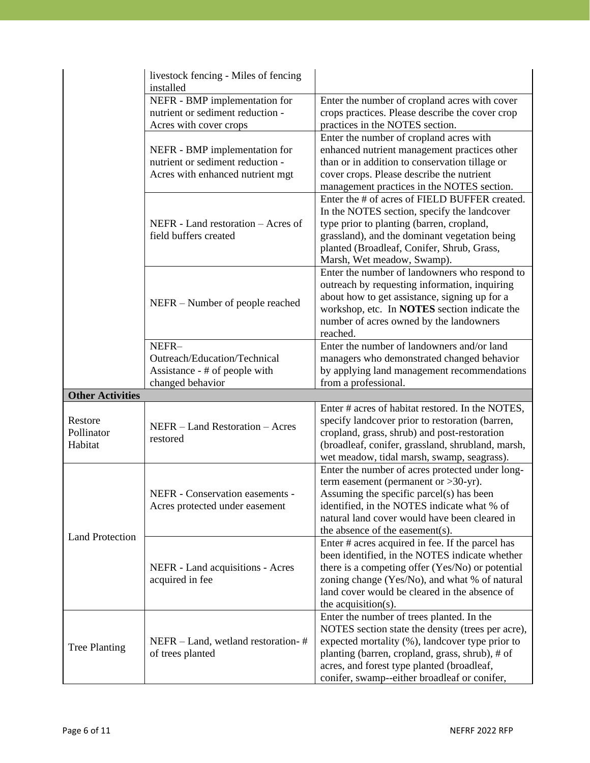|                                  | livestock fencing - Miles of fencing<br>installed                                                     |                                                                                                                                                                                                                                                                                                    |
|----------------------------------|-------------------------------------------------------------------------------------------------------|----------------------------------------------------------------------------------------------------------------------------------------------------------------------------------------------------------------------------------------------------------------------------------------------------|
|                                  | NEFR - BMP implementation for<br>nutrient or sediment reduction -<br>Acres with cover crops           | Enter the number of cropland acres with cover<br>crops practices. Please describe the cover crop<br>practices in the NOTES section.                                                                                                                                                                |
|                                  | NEFR - BMP implementation for<br>nutrient or sediment reduction -<br>Acres with enhanced nutrient mgt | Enter the number of cropland acres with<br>enhanced nutrient management practices other<br>than or in addition to conservation tillage or<br>cover crops. Please describe the nutrient<br>management practices in the NOTES section.                                                               |
|                                  | NEFR - Land restoration – Acres of<br>field buffers created                                           | Enter the # of acres of FIELD BUFFER created.<br>In the NOTES section, specify the landcover<br>type prior to planting (barren, cropland,<br>grassland), and the dominant vegetation being<br>planted (Broadleaf, Conifer, Shrub, Grass,<br>Marsh, Wet meadow, Swamp).                             |
|                                  | NEFR – Number of people reached                                                                       | Enter the number of landowners who respond to<br>outreach by requesting information, inquiring<br>about how to get assistance, signing up for a<br>workshop, etc. In NOTES section indicate the<br>number of acres owned by the landowners<br>reached.                                             |
|                                  | NEFR-<br>Outreach/Education/Technical<br>Assistance - # of people with                                | Enter the number of landowners and/or land<br>managers who demonstrated changed behavior<br>by applying land management recommendations                                                                                                                                                            |
|                                  | changed behavior                                                                                      | from a professional.                                                                                                                                                                                                                                                                               |
| <b>Other Activities</b>          |                                                                                                       | Enter # acres of habitat restored. In the NOTES,                                                                                                                                                                                                                                                   |
| Restore<br>Pollinator<br>Habitat | NEFR - Land Restoration - Acres<br>restored                                                           | specify landcover prior to restoration (barren,<br>cropland, grass, shrub) and post-restoration<br>(broadleaf, conifer, grassland, shrubland, marsh,<br>wet meadow, tidal marsh, swamp, seagrass).                                                                                                 |
| <b>Land Protection</b>           | NEFR - Conservation easements -<br>Acres protected under easement                                     | Enter the number of acres protected under long-<br>term easement (permanent or $>30$ -yr).<br>Assuming the specific parcel(s) has been<br>identified, in the NOTES indicate what % of<br>natural land cover would have been cleared in<br>the absence of the easement(s).                          |
|                                  | NEFR - Land acquisitions - Acres<br>acquired in fee                                                   | Enter # acres acquired in fee. If the parcel has<br>been identified, in the NOTES indicate whether<br>there is a competing offer (Yes/No) or potential<br>zoning change (Yes/No), and what % of natural<br>land cover would be cleared in the absence of<br>the acquisition( $s$ ).                |
| <b>Tree Planting</b>             | NEFR - Land, wetland restoration-#<br>of trees planted                                                | Enter the number of trees planted. In the<br>NOTES section state the density (trees per acre),<br>expected mortality (%), landcover type prior to<br>planting (barren, cropland, grass, shrub), # of<br>acres, and forest type planted (broadleaf,<br>conifer, swamp--either broadleaf or conifer, |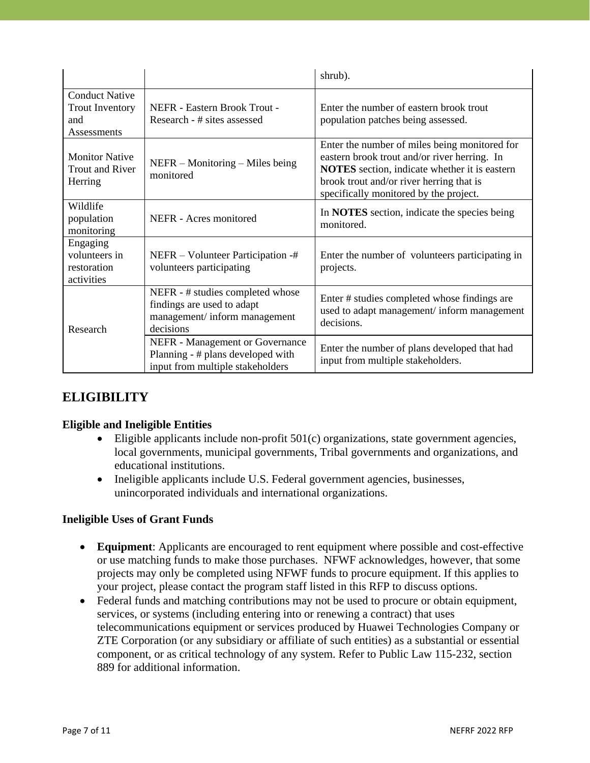|                                                                       |                                                                                                                 | shrub).                                                                                                                                                                                                                              |
|-----------------------------------------------------------------------|-----------------------------------------------------------------------------------------------------------------|--------------------------------------------------------------------------------------------------------------------------------------------------------------------------------------------------------------------------------------|
| <b>Conduct Native</b><br><b>Trout Inventory</b><br>and<br>Assessments | NEFR - Eastern Brook Trout -<br>Research - # sites assessed                                                     | Enter the number of eastern brook trout<br>population patches being assessed.                                                                                                                                                        |
| <b>Monitor Native</b><br><b>Trout and River</b><br>Herring            | $NEFR - Monitoring - Miles being$<br>monitored                                                                  | Enter the number of miles being monitored for<br>eastern brook trout and/or river herring. In<br>NOTES section, indicate whether it is eastern<br>brook trout and/or river herring that is<br>specifically monitored by the project. |
| Wildlife<br>population<br>monitoring                                  | NEFR - Acres monitored                                                                                          | In <b>NOTES</b> section, indicate the species being<br>monitored.                                                                                                                                                                    |
| Engaging<br>volunteers in<br>restoration<br>activities                | NEFR – Volunteer Participation -#<br>volunteers participating                                                   | Enter the number of volunteers participating in<br>projects.                                                                                                                                                                         |
| Research                                                              | NEFR - # studies completed whose<br>findings are used to adapt<br>management/ inform management<br>decisions    | Enter # studies completed whose findings are<br>used to adapt management/inform management<br>decisions.                                                                                                                             |
|                                                                       | <b>NEFR</b> - Management or Governance<br>Planning - # plans developed with<br>input from multiple stakeholders | Enter the number of plans developed that had<br>input from multiple stakeholders.                                                                                                                                                    |

## **ELIGIBILITY**

#### **Eligible and Ineligible Entities**

- Eligible applicants include non-profit 501(c) organizations, state government agencies, local governments, municipal governments, Tribal governments and organizations, and educational institutions.
- Ineligible applicants include U.S. Federal government agencies, businesses, unincorporated individuals and international organizations.

#### **Ineligible Uses of Grant Funds**

- **Equipment**: Applicants are encouraged to rent equipment where possible and cost-effective or use matching funds to make those purchases. NFWF acknowledges, however, that some projects may only be completed using NFWF funds to procure equipment. If this applies to your project, please contact the program staff listed in this RFP to discuss options.
- Federal funds and matching contributions may not be used to procure or obtain equipment, services, or systems (including entering into or renewing a contract) that uses telecommunications equipment or services produced by Huawei Technologies Company or ZTE Corporation (or any subsidiary or affiliate of such entities) as a substantial or essential component, or as critical technology of any system. Refer to Public Law 115-232, section 889 for additional information.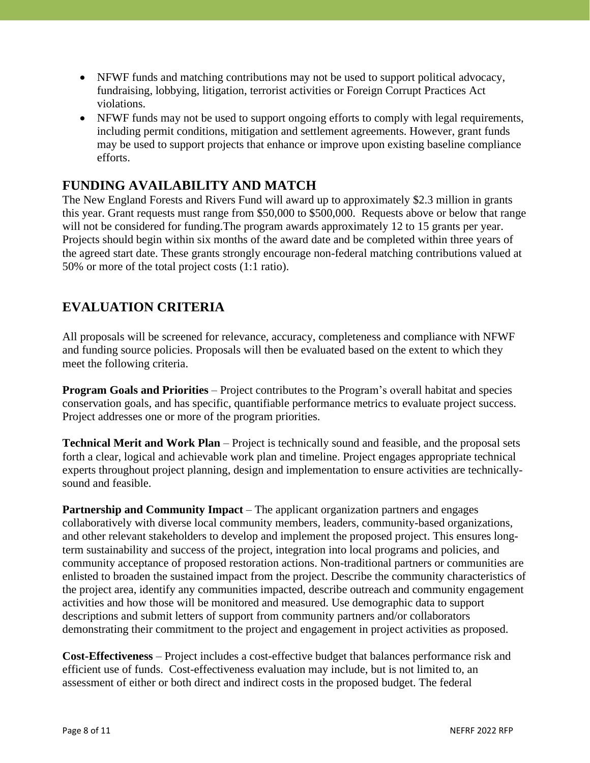- NFWF funds and matching contributions may not be used to support political advocacy, fundraising, lobbying, litigation, terrorist activities or Foreign Corrupt Practices Act violations.
- NFWF funds may not be used to support ongoing efforts to comply with legal requirements, including permit conditions, mitigation and settlement agreements. However, grant funds may be used to support projects that enhance or improve upon existing baseline compliance efforts.

### **FUNDING AVAILABILITY AND MATCH**

The New England Forests and Rivers Fund will award up to approximately \$2.3 million in grants this year. Grant requests must range from \$50,000 to \$500,000. Requests above or below that range will not be considered for funding. The program awards approximately 12 to 15 grants per year. Projects should begin within six months of the award date and be completed within three years of the agreed start date. These grants strongly encourage non-federal matching contributions valued at 50% or more of the total project costs (1:1 ratio).

## **EVALUATION CRITERIA**

All proposals will be screened for relevance, accuracy, completeness and compliance with NFWF and funding source policies. Proposals will then be evaluated based on the extent to which they meet the following criteria.

**Program Goals and Priorities** – Project contributes to the Program's overall habitat and species conservation goals, and has specific, quantifiable performance metrics to evaluate project success. Project addresses one or more of the program priorities.

**Technical Merit and Work Plan** – Project is technically sound and feasible, and the proposal sets forth a clear, logical and achievable work plan and timeline. Project engages appropriate technical experts throughout project planning, design and implementation to ensure activities are technicallysound and feasible.

**Partnership and Community Impact** – The applicant organization partners and engages collaboratively with diverse local community members, leaders, community-based organizations, and other relevant stakeholders to develop and implement the proposed project. This ensures longterm sustainability and success of the project, integration into local programs and policies, and community acceptance of proposed restoration actions. Non-traditional partners or communities are enlisted to broaden the sustained impact from the project. Describe the community characteristics of the project area, identify any communities impacted, describe outreach and community engagement activities and how those will be monitored and measured. Use demographic data to support descriptions and submit letters of support from community partners and/or collaborators demonstrating their commitment to the project and engagement in project activities as proposed.

**Cost-Effectiveness** – Project includes a cost-effective budget that balances performance risk and efficient use of funds. Cost-effectiveness evaluation may include, but is not limited to, an assessment of either or both direct and indirect costs in the proposed budget. The federal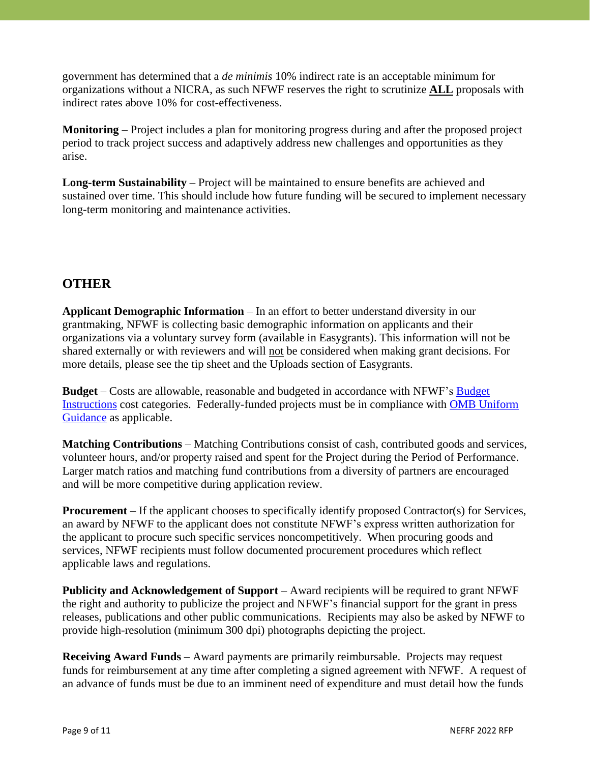government has determined that a *de minimis* 10% indirect rate is an acceptable minimum for organizations without a NICRA, as such NFWF reserves the right to scrutinize **ALL** proposals with indirect rates above 10% for cost-effectiveness.

**Monitoring** – Project includes a plan for monitoring progress during and after the proposed project period to track project success and adaptively address new challenges and opportunities as they arise.

**Long-term Sustainability** – Project will be maintained to ensure benefits are achieved and sustained over time. This should include how future funding will be secured to implement necessary long-term monitoring and maintenance activities.

### **OTHER**

**Applicant Demographic Information** – In an effort to better understand diversity in our grantmaking, NFWF is collecting basic demographic information on applicants and their organizations via a voluntary survey form (available in Easygrants). This information will not be shared externally or with reviewers and will not be considered when making grant decisions. For more details, please see the tip sheet and the Uploads section of Easygrants.

**Budget** – Costs are allowable, reasonable and budgeted in accordance with NFWF's Budget Instructions cost categories. Federally-funded projects must be in compliance with OMB Uniform Guidance as applicable.

**Matching Contributions** – Matching Contributions consist of cash, contributed goods and services, volunteer hours, and/or property raised and spent for the Project during the Period of Performance. Larger match ratios and matching fund contributions from a diversity of partners are encouraged and will be more competitive during application review.

**Procurement** – If the applicant chooses to specifically identify proposed Contractor(s) for Services, an award by NFWF to the applicant does not constitute NFWF's express written authorization for the applicant to procure such specific services noncompetitively. When procuring goods and services, NFWF recipients must follow documented procurement procedures which reflect applicable laws and regulations.

**Publicity and Acknowledgement of Support** – Award recipients will be required to grant NFWF the right and authority to publicize the project and NFWF's financial support for the grant in press releases, publications and other public communications. Recipients may also be asked by NFWF to provide high-resolution (minimum 300 dpi) photographs depicting the project.

**Receiving Award Funds** – Award payments are primarily reimbursable. Projects may request funds for reimbursement at any time after completing a signed agreement with NFWF. A request of an advance of funds must be due to an imminent need of expenditure and must detail how the funds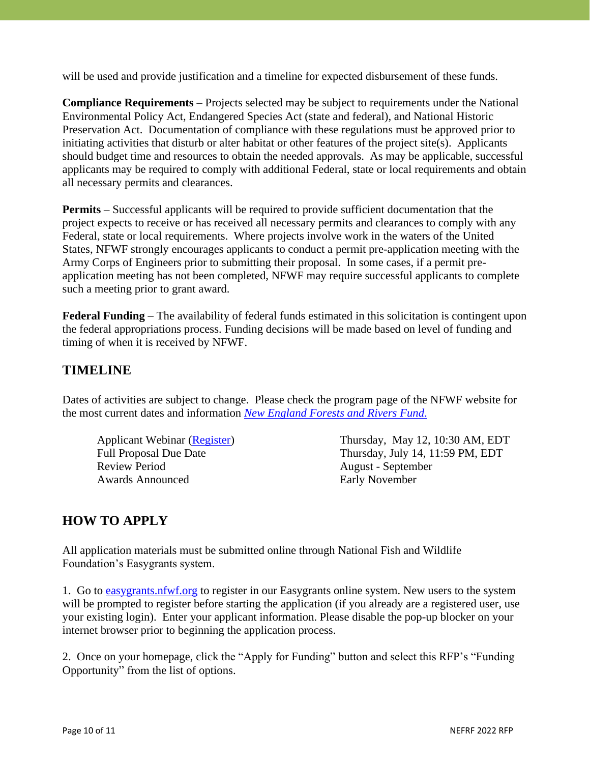will be used and provide justification and a timeline for expected disbursement of these funds.

**Compliance Requirements** – Projects selected may be subject to requirements under the National Environmental Policy Act, Endangered Species Act (state and federal), and National Historic Preservation Act. Documentation of compliance with these regulations must be approved prior to initiating activities that disturb or alter habitat or other features of the project site(s). Applicants should budget time and resources to obtain the needed approvals. As may be applicable, successful applicants may be required to comply with additional Federal, state or local requirements and obtain all necessary permits and clearances.

**Permits** – Successful applicants will be required to provide sufficient documentation that the project expects to receive or has received all necessary permits and clearances to comply with any Federal, state or local requirements. Where projects involve work in the waters of the United States, NFWF strongly encourages applicants to conduct a permit pre-application meeting with the Army Corps of Engineers prior to submitting their proposal. In some cases, if a permit preapplication meeting has not been completed, NFWF may require successful applicants to complete such a meeting prior to grant award.

**Federal Funding** – The availability of federal funds estimated in this solicitation is contingent upon the federal appropriations process. Funding decisions will be made based on level of funding and timing of when it is received by NFWF.

### **TIMELINE**

Dates of activities are subject to change. Please check the program page of the NFWF website for the most current dates and information *New England Forests and Rivers Fund*.

Review Period August - September Awards Announced Early November

Applicant Webinar (Register) Thursday, May 12, 10:30 AM, EDT Full Proposal Due Date Thursday, July 14, 11:59 PM, EDT

## **HOW TO APPLY**

All application materials must be submitted online through National Fish and Wildlife Foundation's Easygrants system.

1. Go to easygrants.nfwf.org to register in our Easygrants online system. New users to the system will be prompted to register before starting the application (if you already are a registered user, use your existing login). Enter your applicant information. Please disable the pop-up blocker on your internet browser prior to beginning the application process.

2. Once on your homepage, click the "Apply for Funding" button and select this RFP's "Funding Opportunity" from the list of options.